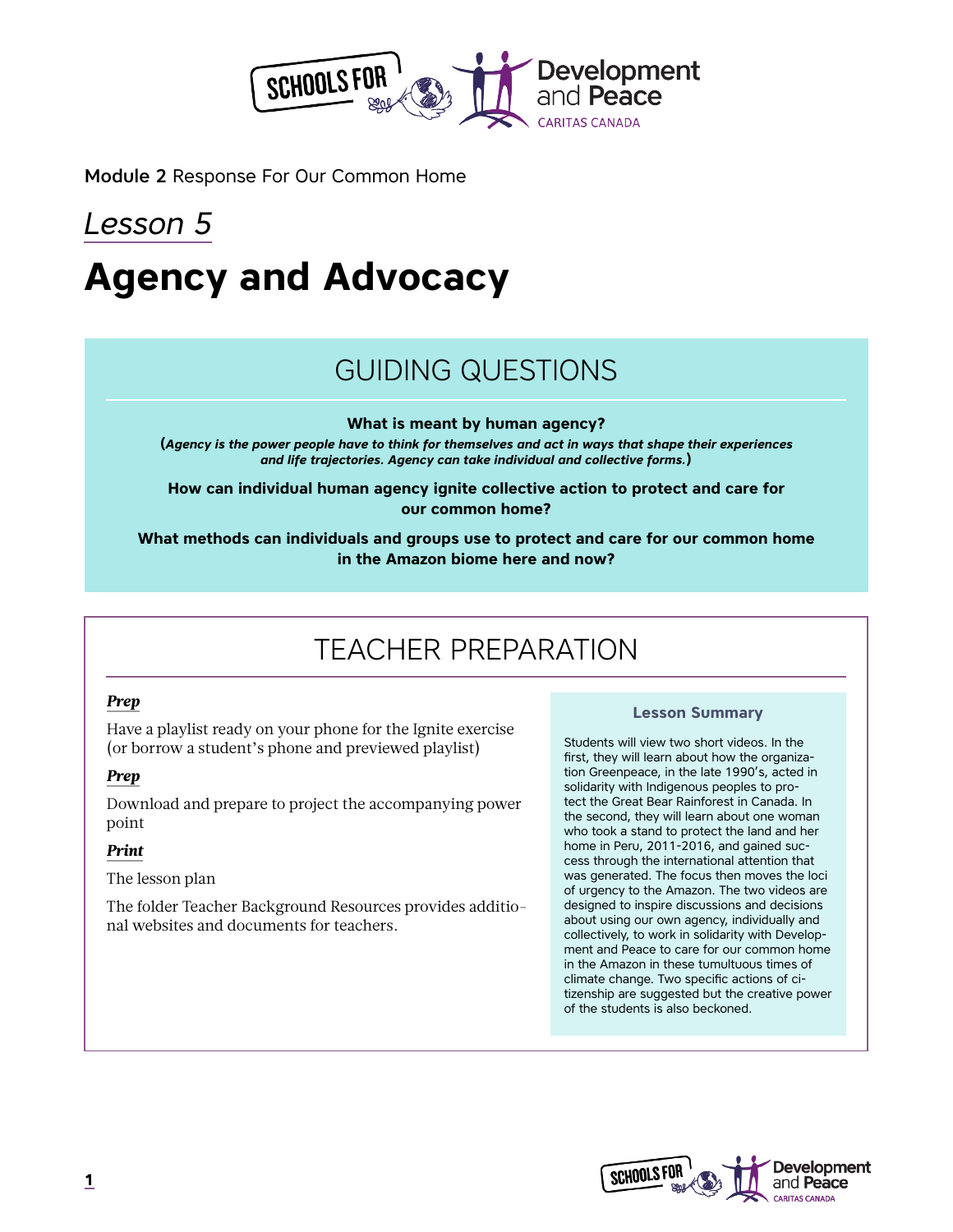

Module 2 Response For Our Common Home

# *Lesson 5* **Agency and Advocacy**

## GUIDING QUESTIONS

**What is meant by human agency?**

**(***Agency is the power people have to think for themselves and act in ways that shape their experiences and life trajectories. Agency can take individual and collective forms.***)**

**How can individual human agency ignite collective action to protect and care for our common home?**

**What methods can individuals and groups use to protect and care for our common home in the Amazon biome here and now?**

## TEACHER PREPARATION

#### *Prep*

Have a playlist ready on your phone for the Ignite exercise (or borrow a student's phone and previewed playlist)

#### *Prep*

Download and prepare to project the accompanying power point

#### *Print*

The lesson plan

The folder Teacher Background Resources provides additional websites and documents for teachers.

#### **Lesson Summary**

Students will view two short videos. In the first, they will learn about how the organization Greenpeace, in the late 1990's, acted in solidarity with Indigenous peoples to protect the Great Bear Rainforest in Canada. In the second, they will learn about one woman who took a stand to protect the land and her home in Peru, 2011-2016, and gained success through the international attention that was generated. The focus then moves the loci of urgency to the Amazon. The two videos are designed to inspire discussions and decisions about using our own agency, individually and collectively, to work in solidarity with Development and Peace to care for our common home in the Amazon in these tumultuous times of climate change. Two specific actions of citizenship are suggested but the creative power of the students is also beckoned.

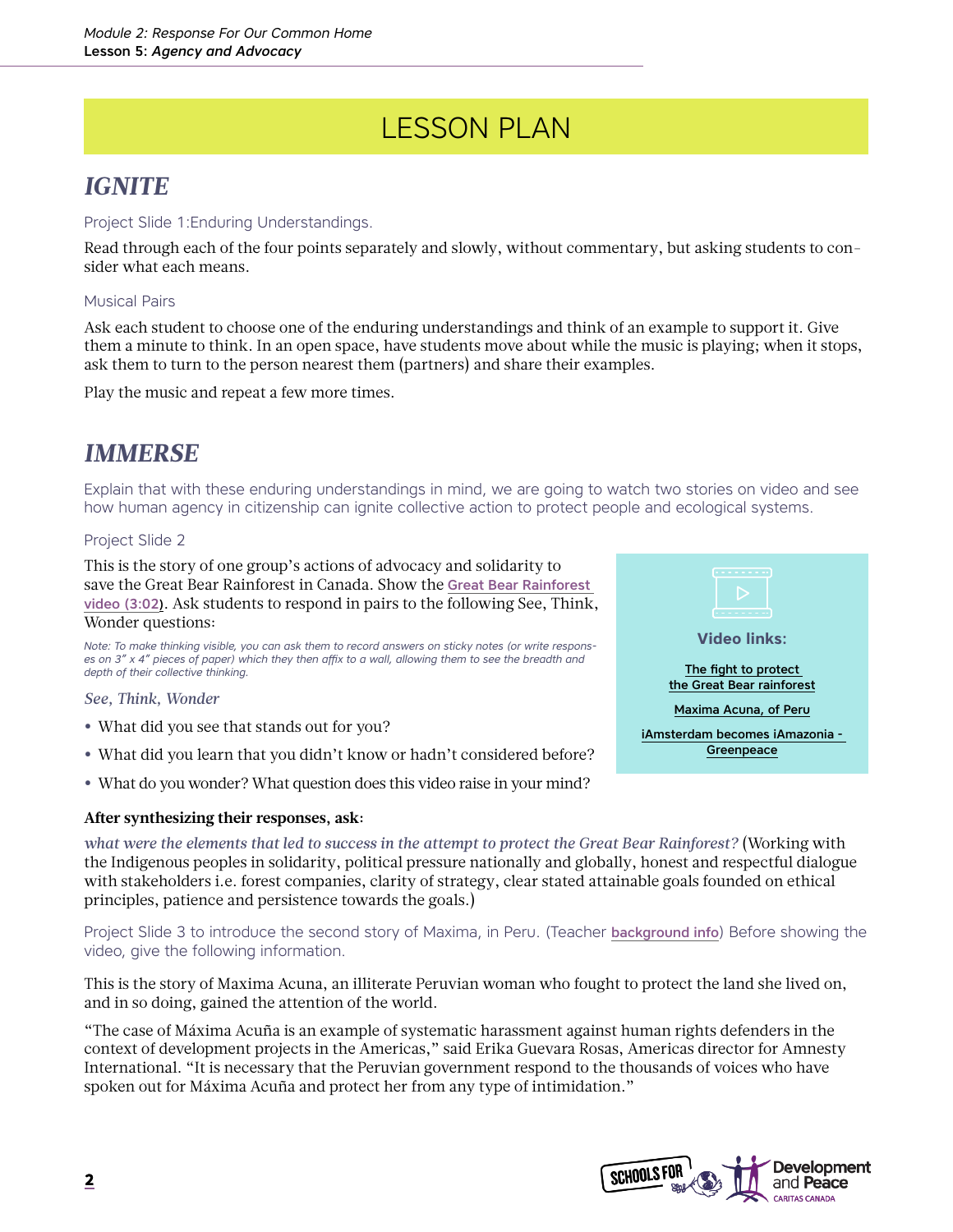## LESSON PLAN

### *IGNITE*

#### Project Slide 1:Enduring Understandings.

Read through each of the four points separately and slowly, without commentary, but asking students to consider what each means.

#### Musical Pairs

Ask each student to choose one of the enduring understandings and think of an example to support it. Give them a minute to think. In an open space, have students move about while the music is playing; when it stops, ask them to turn to the person nearest them (partners) and share their examples.

Play the music and repeat a few more times.

### *IMMERSE*

Explain that with these enduring understandings in mind, we are going to watch two stories on video and see how human agency in citizenship can ignite collective action to protect people and ecological systems.

#### Project Slide 2

This is the story of one group's actions of advocacy and solidarity to save the Great Bear Rainforest in Canada. Show the [Great Bear Rainforest](https://www.youtube.com/watch?v=OgN2PFAEtGM)  [video](https://www.youtube.com/watch?v=OgN2PFAEtGM) (3:02). Ask students to respond in pairs to the following See, Think, Wonder questions:

*Note: To make thinking visible, you can ask them to record answers on sticky notes (or write responses on 3" x 4" pieces of paper) which they then affix to a wall, allowing them to see the breadth and depth of their collective thinking.*

#### *See, Think, Wonder*

- **•** What did you see that stands out for you?
- **•** What did you learn that you didn't know or hadn't considered before?
- **•** What do you wonder? What question does this video raise in your mind?

#### **After synthesizing their responses, ask:**

*what were the elements that led to success in the attempt to protect the Great Bear Rainforest?* (Working with the Indigenous peoples in solidarity, political pressure nationally and globally, honest and respectful dialogue with stakeholders i.e. forest companies, clarity of strategy, clear stated attainable goals founded on ethical principles, patience and persistence towards the goals.)

Project Slide 3 to introduce the second story of Maxima, in Peru. (Teacher [background info](https://www.goldmanprize.org/recipient/maxima-acuna/)) Before showing the video, give the following information.

This is the story of Maxima Acuna, an illiterate Peruvian woman who fought to protect the land she lived on, and in so doing, gained the attention of the world.

"The case of Máxima Acuña is an example of systematic harassment against human rights defenders in the context of development projects in the Americas," said Erika Guevara Rosas, Americas director for Amnesty International. "It is necessary that the Peruvian government respond to the thousands of voices who have spoken out for Máxima Acuña and protect her from any type of intimidation."



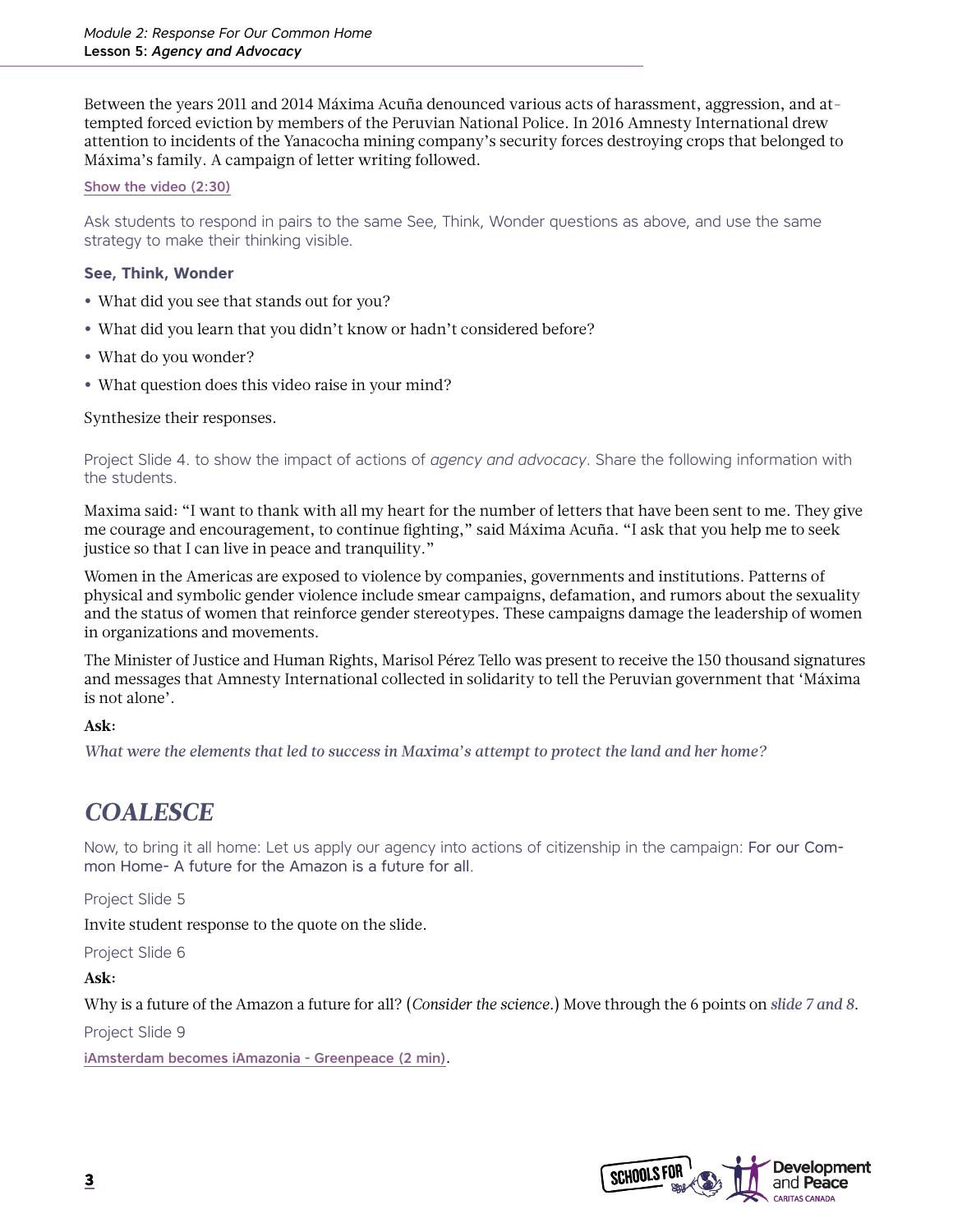Between the years 2011 and 2014 Máxima Acuña denounced various acts of harassment, aggression, and attempted forced eviction by members of the Peruvian National Police. In 2016 Amnesty International drew attention to incidents of the Yanacocha mining company's security forces destroying crops that belonged to Máxima's family. A campaign of letter writing followed.

#### [Show the video \(2:30\)](https://www.youtube.com/watch?v=aQVpizVel4w)

Ask students to respond in pairs to the same See, Think, Wonder questions as above, and use the same strategy to make their thinking visible.

#### **See, Think, Wonder**

- **•** What did you see that stands out for you?
- **•** What did you learn that you didn't know or hadn't considered before?
- **•** What do you wonder?
- **•** What question does this video raise in your mind?

#### Synthesize their responses.

Project Slide 4. to show the impact of actions of *agency and advocacy*. Share the following information with the students.

Maxima said: "I want to thank with all my heart for the number of letters that have been sent to me. They give me courage and encouragement, to continue fighting," said Máxima Acuña. "I ask that you help me to seek justice so that I can live in peace and tranquility."

Women in the Americas are exposed to violence by companies, governments and institutions. Patterns of physical and symbolic gender violence include smear campaigns, defamation, and rumors about the sexuality and the status of women that reinforce gender stereotypes. These campaigns damage the leadership of women in organizations and movements.

The Minister of Justice and Human Rights, Marisol Pérez Tello was present to receive the 150 thousand signatures and messages that Amnesty International collected in solidarity to tell the Peruvian government that 'Máxima is not alone'.

#### **Ask:**

*What were the elements that led to success in Maxima's attempt to protect the land and her home?*

### *COALESCE*

Now, to bring it all home: Let us apply our agency into actions of citizenship in the campaign: For our Common Home- A future for the Amazon is a future for all.

#### Project Slide 5

Invite student response to the quote on the slide.

Project Slide 6

#### **Ask:**

Why is a future of the Amazon a future for all? (*Consider the science.*) Move through the 6 points on *slide 7 and 8*.

Project Slide 9

[iAmsterdam becomes iAmazonia - Greenpeace \(2 min\)](https://www.youtube.com/watch?v=HPvi1oe-v5E).

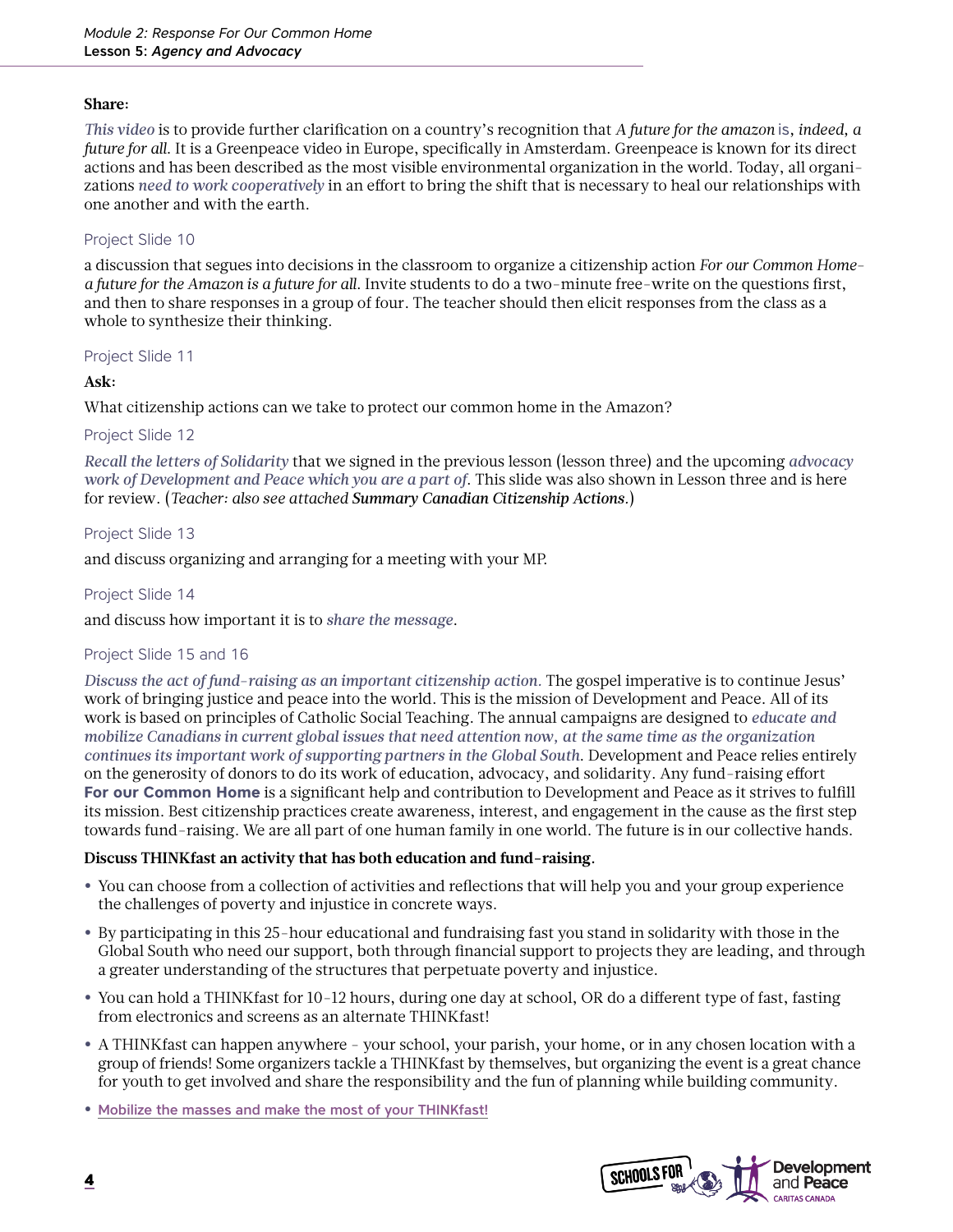#### **Share:**

*This video* is to provide further clarification on a country's recognition that *A future for the amazon* is*, indeed, a future for all*. It is a Greenpeace video in Europe, specifically in Amsterdam. Greenpeace is known for its direct actions and has been described as the most visible environmental organization in the world. Today, all organizations *need to work cooperatively* in an effort to bring the shift that is necessary to heal our relationships with one another and with the earth.

#### Project Slide 10

a discussion that segues into decisions in the classroom to organize a citizenship action *For our Common Homea future for the Amazon is a future for all*. Invite students to do a two-minute free-write on the questions first, and then to share responses in a group of four. The teacher should then elicit responses from the class as a whole to synthesize their thinking.

#### Project Slide 11

#### **Ask:**

What citizenship actions can we take to protect our common home in the Amazon?

#### Project Slide 12

*Recall the letters of Solidarity* that we signed in the previous lesson (lesson three) and the upcoming *advocacy work of Development and Peace which you are a part of*. This slide was also shown in Lesson three and is here for review. (*Teacher: also see attached Summary Canadian Citizenship Actions.*)

#### Project Slide 13

and discuss organizing and arranging for a meeting with your MP.

#### Project Slide 14

and discuss how important it is to *share the message*.

#### Project Slide 15 and 16

*Discuss the act of fund-raising as an important citizenship action.* The gospel imperative is to continue Jesus' work of bringing justice and peace into the world. This is the mission of Development and Peace. All of its work is based on principles of Catholic Social Teaching. The annual campaigns are designed to *educate and mobilize Canadians in current global issues that need attention now, at the same time as the organization continues its important work of supporting partners in the Global South*. Development and Peace relies entirely on the generosity of donors to do its work of education, advocacy, and solidarity. Any fund-raising effort **For our Common Home** is a significant help and contribution to Development and Peace as it strives to fulfill its mission. Best citizenship practices create awareness, interest, and engagement in the cause as the first step towards fund-raising. We are all part of one human family in one world. The future is in our collective hands.

#### **Discuss THINKfast an activity that has both education and fund-raising.**

- **•** You can choose from a collection of activities and reflections that will help you and your group experience the challenges of poverty and injustice in concrete ways.
- **•** By participating in this 25-hour educational and fundraising fast you stand in solidarity with those in the Global South who need our support, both through financial support to projects they are leading, and through a greater understanding of the structures that perpetuate poverty and injustice.
- **•** You can hold a THINKfast for 10-12 hours, during one day at school, OR do a different type of fast, fasting from electronics and screens as an alternate THINKfast!
- **•** A THINKfast can happen anywhere your school, your parish, your home, or in any chosen location with a group of friends! Some organizers tackle a THINKfast by themselves, but organizing the event is a great chance for youth to get involved and share the responsibility and the fun of planning while building community.
- **•** [Mobilize the masses and make the most of your THINKfast!](https://www.devp.org/en/thinkfast)

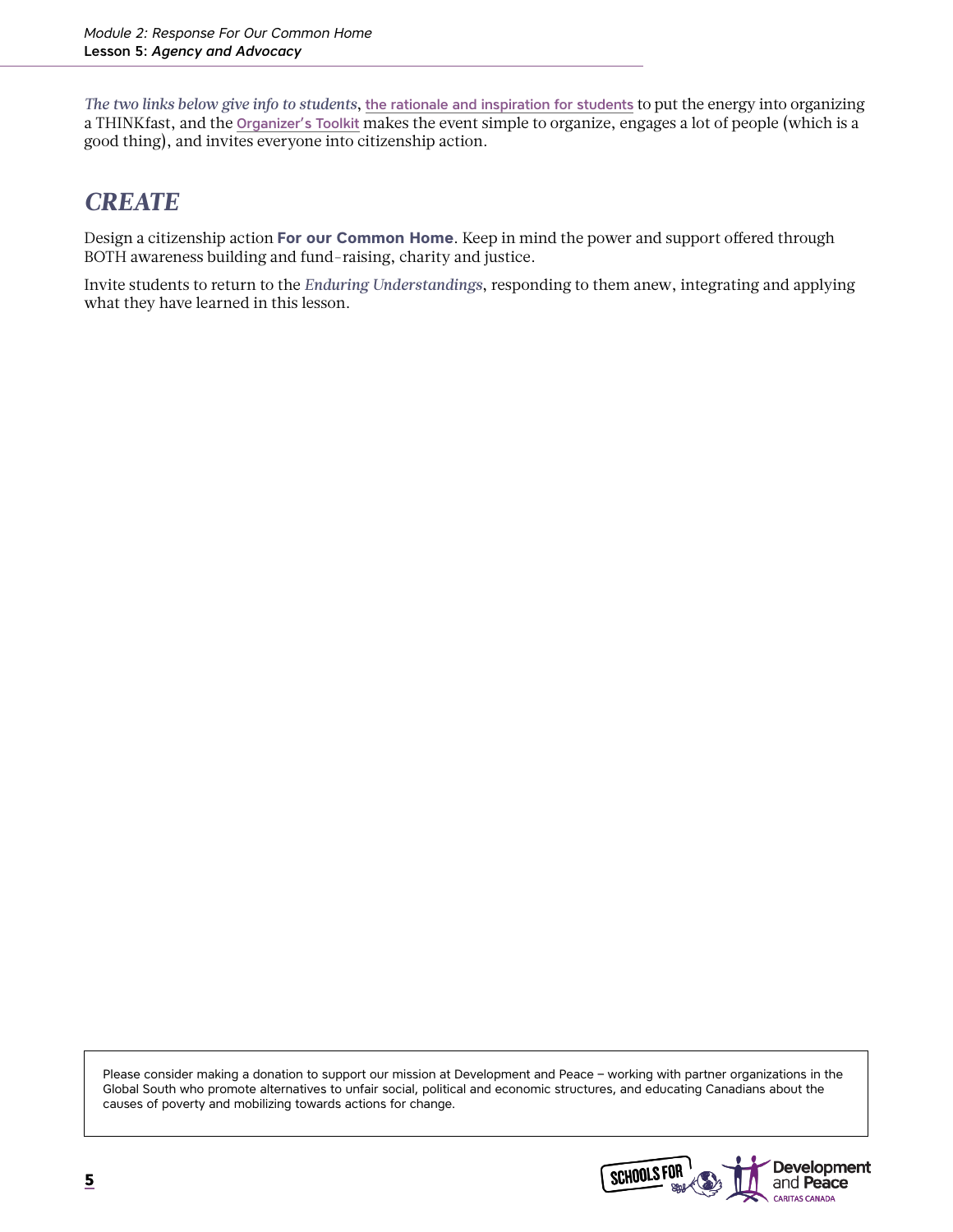*The two links below give info to students*, [the rationale and inspiration for students](https://www.devp.org/sites/www.devp.org/files/documents/materials/devpeace_thinkfast2014_pamphlet_homeprinting.pdf) to put the energy into organizing a THINKfast, and the [Organizer's Toolkit](https://www.devp.org/sites/www.devp.org/files/documents/materials/devpeace_thinkfast_organizer_toolkit_2020_en.pdf) makes the event simple to organize, engages a lot of people (which is a good thing), and invites everyone into citizenship action.

### *CREATE*

Design a citizenship action **For our Common Home**. Keep in mind the power and support offered through BOTH awareness building and fund-raising, charity and justice.

Invite students to return to the *Enduring Understandings*, responding to them anew, integrating and applying what they have learned in this lesson.

Please consider making a donation to support our mission at Development and Peace – working with partner organizations in the Global South who promote alternatives to unfair social, political and economic structures, and educating Canadians about the causes of poverty and mobilizing towards actions for change.

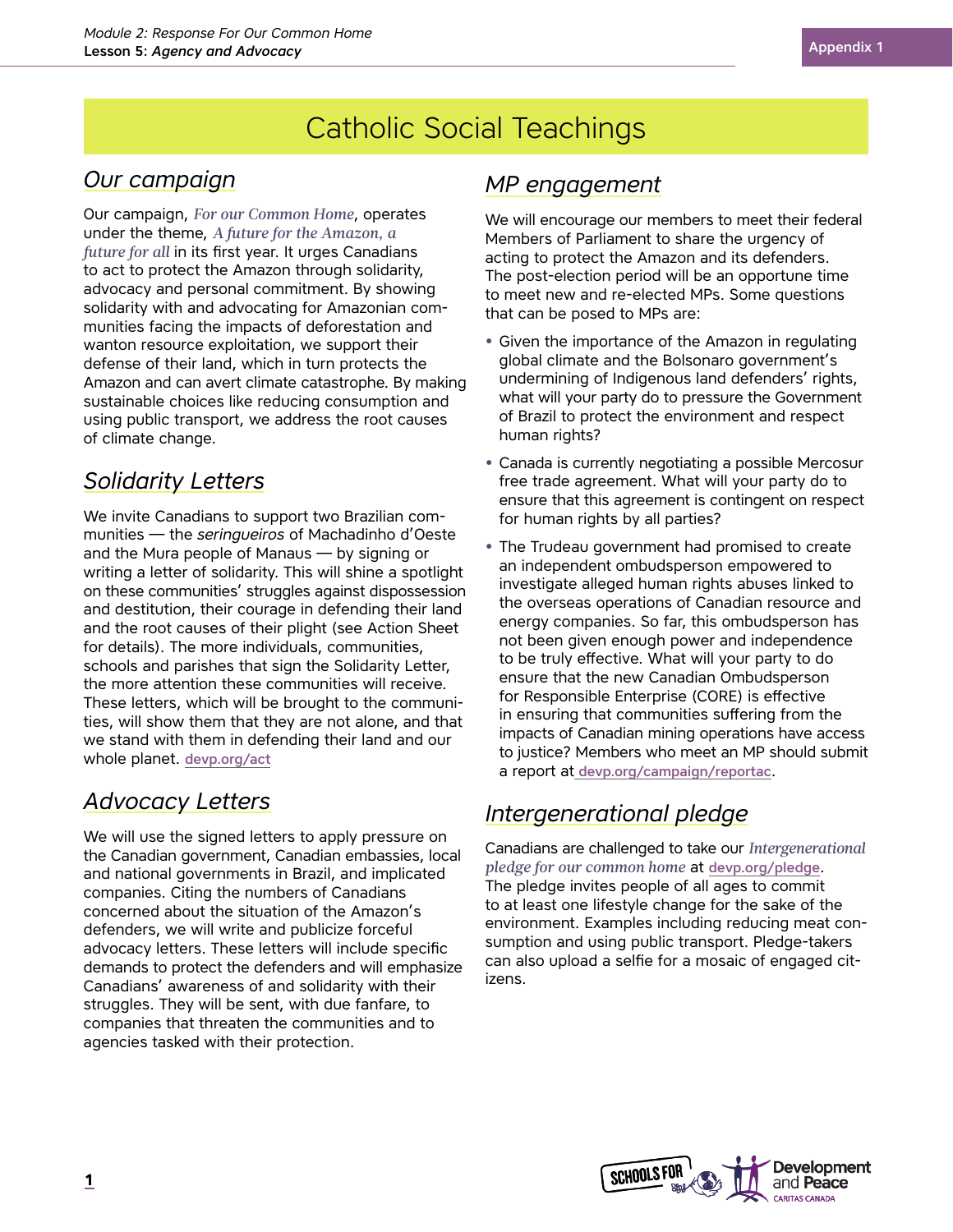## Catholic Social Teachings

### *Our campaign*

Our campaign, *For our Common Home*, operates under the theme, *A future for the Amazon, a future for all* in its first year. It urges Canadians to act to protect the Amazon through solidarity, advocacy and personal commitment. By showing solidarity with and advocating for Amazonian communities facing the impacts of deforestation and wanton resource exploitation, we support their defense of their land, which in turn protects the Amazon and can avert climate catastrophe. By making sustainable choices like reducing consumption and using public transport, we address the root causes of climate change.

### *Solidarity Letters*

We invite Canadians to support two Brazilian communities — the *seringueiros* of Machadinho d'Oeste and the Mura people of Manaus — by signing or writing a letter of solidarity. This will shine a spotlight on these communities' struggles against dispossession and destitution, their courage in defending their land and the root causes of their plight (see Action Sheet for details). The more individuals, communities, schools and parishes that sign the Solidarity Letter, the more attention these communities will receive. These letters, which will be brought to the communities, will show them that they are not alone, and that we stand with them in defending their land and our whole planet. [devp.org/act](http://devp.org/act)

### *Advocacy Letters*

We will use the signed letters to apply pressure on the Canadian government, Canadian embassies, local and national governments in Brazil, and implicated companies. Citing the numbers of Canadians concerned about the situation of the Amazon's defenders, we will write and publicize forceful advocacy letters. These letters will include specific demands to protect the defenders and will emphasize Canadians' awareness of and solidarity with their struggles. They will be sent, with due fanfare, to companies that threaten the communities and to agencies tasked with their protection.

### *MP engagement*

We will encourage our members to meet their federal Members of Parliament to share the urgency of acting to protect the Amazon and its defenders. The post-election period will be an opportune time to meet new and re-elected MPs. Some questions that can be posed to MPs are:

- **•** Given the importance of the Amazon in regulating global climate and the Bolsonaro government's undermining of Indigenous land defenders' rights, what will your party do to pressure the Government of Brazil to protect the environment and respect human rights?
- **•** Canada is currently negotiating a possible Mercosur free trade agreement. What will your party do to ensure that this agreement is contingent on respect for human rights by all parties?
- **•** The Trudeau government had promised to create an independent ombudsperson empowered to investigate alleged human rights abuses linked to the overseas operations of Canadian resource and energy companies. So far, this ombudsperson has not been given enough power and independence to be truly effective. What will your party to do ensure that the new Canadian Ombudsperson for Responsible Enterprise (CORE) is effective in ensuring that communities suffering from the impacts of Canadian mining operations have access to justice? Members who meet an MP should submit a report at [devp.org/campaign/reportac](http://devp.org/campaign/reportac).

### *Intergenerational pledge*

Canadians are challenged to take our *Intergenerational pledge for our common home* at [devp.org/pledge](http://devp.org/pledge). The pledge invites people of all ages to commit to at least one lifestyle change for the sake of the environment. Examples including reducing meat consumption and using public transport. Pledge-takers can also upload a selfie for a mosaic of engaged citizens.